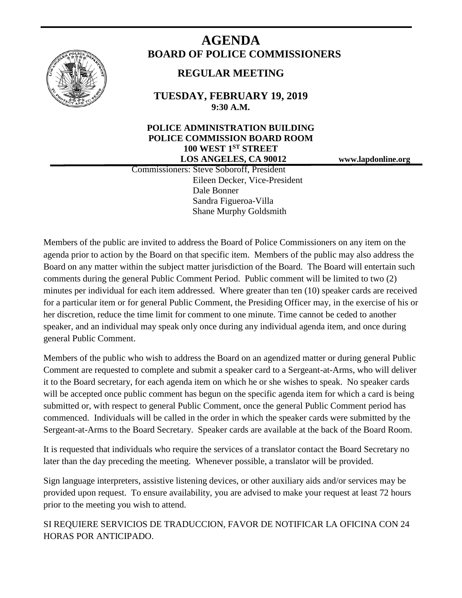

# **AGENDA BOARD OF POLICE COMMISSIONERS**

# **REGULAR MEETING**

**TUESDAY, FEBRUARY 19, 2019 9:30 A.M.**

## **POLICE ADMINISTRATION BUILDING POLICE COMMISSION BOARD ROOM 100 WEST 1ST STREET LOS ANGELES, CA 90012 www.lapdonline.org**

 Commissioners: Steve Soboroff, President Eileen Decker, Vice-President Dale Bonner Sandra Figueroa-Villa Shane Murphy Goldsmith

Members of the public are invited to address the Board of Police Commissioners on any item on the agenda prior to action by the Board on that specific item. Members of the public may also address the Board on any matter within the subject matter jurisdiction of the Board. The Board will entertain such comments during the general Public Comment Period. Public comment will be limited to two (2) minutes per individual for each item addressed. Where greater than ten (10) speaker cards are received for a particular item or for general Public Comment, the Presiding Officer may, in the exercise of his or her discretion, reduce the time limit for comment to one minute. Time cannot be ceded to another speaker, and an individual may speak only once during any individual agenda item, and once during general Public Comment.

Members of the public who wish to address the Board on an agendized matter or during general Public Comment are requested to complete and submit a speaker card to a Sergeant-at-Arms, who will deliver it to the Board secretary, for each agenda item on which he or she wishes to speak. No speaker cards will be accepted once public comment has begun on the specific agenda item for which a card is being submitted or, with respect to general Public Comment, once the general Public Comment period has commenced. Individuals will be called in the order in which the speaker cards were submitted by the Sergeant-at-Arms to the Board Secretary. Speaker cards are available at the back of the Board Room.

It is requested that individuals who require the services of a translator contact the Board Secretary no later than the day preceding the meeting. Whenever possible, a translator will be provided.

Sign language interpreters, assistive listening devices, or other auxiliary aids and/or services may be provided upon request. To ensure availability, you are advised to make your request at least 72 hours prior to the meeting you wish to attend.

SI REQUIERE SERVICIOS DE TRADUCCION, FAVOR DE NOTIFICAR LA OFICINA CON 24 HORAS POR ANTICIPADO.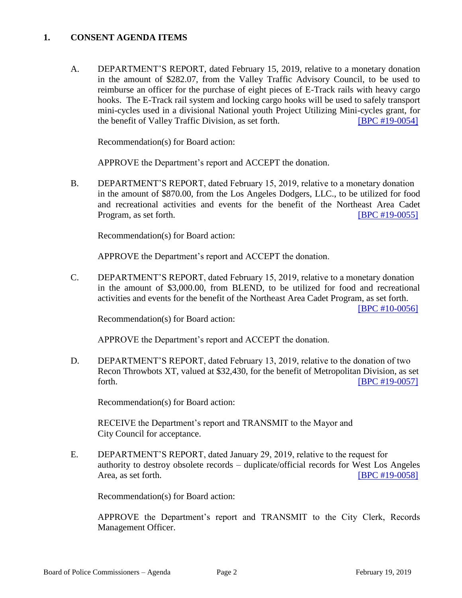#### **1. CONSENT AGENDA ITEMS**

A. DEPARTMENT'S REPORT, dated February 15, 2019, relative to a monetary donation in the amount of \$282.07, from the Valley Traffic Advisory Council, to be used to reimburse an officer for the purchase of eight pieces of E-Track rails with heavy cargo hooks. The E-Track rail system and locking cargo hooks will be used to safely transport mini-cycles used in a divisional National youth Project Utilizing Mini-cycles grant, for the benefit of Valley Traffic Division, as set forth. **[\[BPC #19-0054\]](http://www.lapdpolicecom.lacity.org/021919/BPC_19-0054.pdf)** 

Recommendation(s) for Board action:

APPROVE the Department's report and ACCEPT the donation.

B. DEPARTMENT'S REPORT, dated February 15, 2019, relative to a monetary donation in the amount of \$870.00, from the Los Angeles Dodgers, LLC., to be utilized for food and recreational activities and events for the benefit of the Northeast Area Cadet Program, as set forth. **[\[BPC #19-0055\]](http://www.lapdpolicecom.lacity.org/021919/BPC_19-0055.pdf)** 

Recommendation(s) for Board action:

APPROVE the Department's report and ACCEPT the donation.

C. DEPARTMENT'S REPORT, dated February 15, 2019, relative to a monetary donation in the amount of \$3,000.00, from BLEND, to be utilized for food and recreational activities and events for the benefit of the Northeast Area Cadet Program, as set forth.

[\[BPC #10-0056\]](http://www.lapdpolicecom.lacity.org/021919/BPC_19-0056.pdf)

Recommendation(s) for Board action:

APPROVE the Department's report and ACCEPT the donation.

D. DEPARTMENT'S REPORT, dated February 13, 2019, relative to the donation of two Recon Throwbots XT, valued at \$32,430, for the benefit of Metropolitan Division, as set forth. **IBPC #19-0057]** 

Recommendation(s) for Board action:

RECEIVE the Department's report and TRANSMIT to the Mayor and City Council for acceptance.

E. DEPARTMENT'S REPORT, dated January 29, 2019, relative to the request for authority to destroy obsolete records – duplicate/official records for West Los Angeles Area, as set forth. **IDPC #19-0058]** 

Recommendation(s) for Board action:

APPROVE the Department's report and TRANSMIT to the City Clerk, Records Management Officer.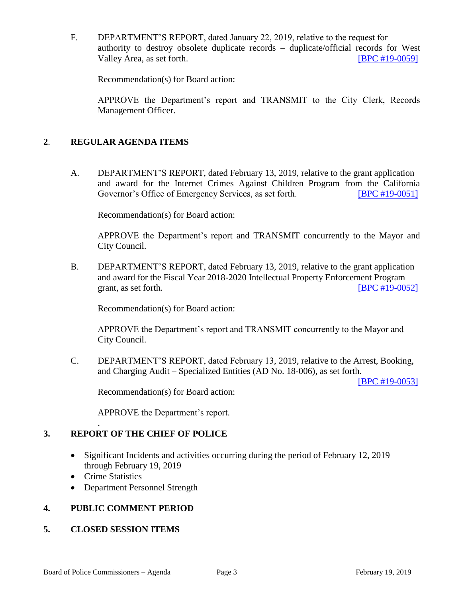F. DEPARTMENT'S REPORT, dated January 22, 2019, relative to the request for authority to destroy obsolete duplicate records – duplicate/official records for West Valley Area, as set forth. [\[BPC #19-0059\]](http://www.lapdpolicecom.lacity.org/021919/BPC_19-0059.pdf)

Recommendation(s) for Board action:

APPROVE the Department's report and TRANSMIT to the City Clerk, Records Management Officer.

#### **2**. **REGULAR AGENDA ITEMS**

A. DEPARTMENT'S REPORT, dated February 13, 2019, relative to the grant application and award for the Internet Crimes Against Children Program from the California Governor's Office of Emergency Services, as set forth. **[\[BPC #19-0051\]](http://www.lapdpolicecom.lacity.org/021919/BPC_19-0051.pdf)** 

Recommendation(s) for Board action:

APPROVE the Department's report and TRANSMIT concurrently to the Mayor and City Council.

B. DEPARTMENT'S REPORT, dated February 13, 2019, relative to the grant application and award for the Fiscal Year 2018-2020 Intellectual Property Enforcement Program grant, as set forth.  $[BPC #19-0052]$ 

Recommendation(s) for Board action:

APPROVE the Department's report and TRANSMIT concurrently to the Mayor and City Council.

C. DEPARTMENT'S REPORT, dated February 13, 2019, relative to the Arrest, Booking, and Charging Audit – Specialized Entities (AD No. 18-006), as set forth.

[\[BPC #19-0053\]](http://www.lapdpolicecom.lacity.org/021919/BPC_19-0053.pdf)

Recommendation(s) for Board action:

APPROVE the Department's report.

## **3. REPORT OF THE CHIEF OF POLICE**

- Significant Incidents and activities occurring during the period of February 12, 2019 through February 19, 2019
- Crime Statistics

.

• Department Personnel Strength

#### **4. PUBLIC COMMENT PERIOD**

#### **5. CLOSED SESSION ITEMS**